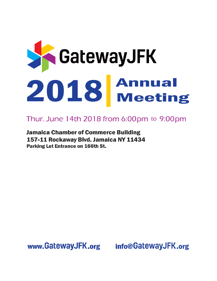

# Thur. June 14th 2018 from 6:00pm to 9:00pm

**Jamaica Chamber of Commerce Building** 157-11 Rockaway Blvd. Jamaica NY 11434 **Parking Lot Entrance on 166th St.** 

www.GatewayJFK.org

info@GatewayJFK.org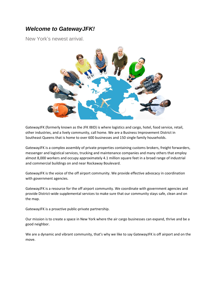## *Welcome to GatewayJFK!*

New York's newest arrival.



GatewayJFK (formerly known as the JFK IBID) is where logistics and cargo, hotel, food service, retail, other industries, and a lively community, call home. We are a Business Improvement District in Southeast Queens that is home to over 600 businesses and 150 single family households.

GatewayJFK is a complex assembly of private properties containing customs brokers, freight forwarders, messenger and logistical services, trucking and maintenance companies and many others that employ almost 8,000 workers and occupy approximately 4.1 million square feet in a broad range of industrial and commercial buildings on and near Rockaway Boulevard.

GatewayJFK is the voice of the off airport community. We provide effective advocacy in coordination with government agencies.

GatewayJFK is a resource for the off airport community. We coordinate with government agencies and provide District-wide supplemental services to make sure that our community stays safe, clean and on the map.

GatewayJFK is a proactive public-private partnership.

Our mission is to create a space in New York where the air cargo businesses can expand, thrive and be a good neighbor.

We are a dynamic and vibrant community, that's why we like to say GatewayJFK is off airport and on the move.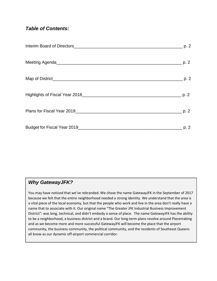## *Table of Contents:*

## *Why GatewayJFK?*

You may have noticed that we've rebranded. We chose the name GatewayJFK in the September of 2017 because we felt that the entire neighborhood needed a strong identity. We understand that the area is a vital piece of the local economy, but that the people who work and live in the area don't really have a name that to associate with it. Our original name "The Greater JFK Industrial Business Improvement District": was long, technical, and didn't embody a sense of place. The name GatewayJFK has the ability to be a neighborhood, a business district and a brand. Our long-term plans revolve around Placemaking and as we become more and more successful GatewayJFK will become the place that the airport community, the business community, the political community, and the residents of Southeast Queens all know as our dynamic off-airport commercial corridor.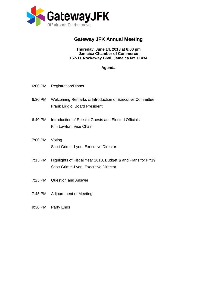

## **Gateway JFK Annual Meeting**

### **Thursday, June 14, 2018 at 6:00 pm Jamaica Chamber of Commerce 157-11 Rockaway Blvd. Jamaica NY 11434**

## **Agenda**

- 6:00 PM Registration/Dinner
- 6:30 PM Welcoming Remarks & Introduction of Executive Committee Frank Liggio, Board President
- 6:40 PM Introduction of Special Guests and Elected Officials Kim Lawton, Vice Chair
- 7:00 PM Voting Scott Grimm-Lyon, Executive Director
- 7:15 PM Highlights of Fiscal Year 2018, Budget & and Plans for FY19 Scott Grimm-Lyon, Executive Director
- 7:25 PM Question and Answer
- 7:45 PM Adjournment of Meeting
- 9:30 PM Party Ends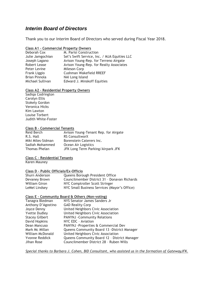## *Interim Board of Directors*

Thank you to our Interim Board of Directors who served during Fiscal Year 2018.

### **Class A1 – Commercial Property Owners**

| Deborah Cox      | M. Parisi Construction                       |
|------------------|----------------------------------------------|
| Julie Jamgochian | Sel's Swift Service, Inc. / MJA Equities LLC |
| Joseph Lagano    | Avison Young-Rep. for Terreno Airgate        |
| Robert Lease     | Avison Young-Rep. for Realty Associates      |
| Peter Levine     | Mileson Corp                                 |
| Frank Liggio     | Cushman Wakefield RREEF                      |
| Brian Pinnola    | NAI Long Island                              |
| Michael Sullivan | Edward J. Minskoff Equities                  |
|                  |                                              |

### **Class A2 – Residential Property Owners**

Sadiqa Codrington Carolyn Ellis Stokely Gordon Veronica Hicks Kim Lawton Louise Torbert Judith White-Foster

### **Class B – Commercial Tenants**

| Reid Berch        | Avison Young-Tenant Rep. for Airgate |
|-------------------|--------------------------------------|
| R.S. Hall         | <b>RS ConsultworX</b>                |
| Miki Miles-Sidman | Borenstein Caterers Inc.             |
| Sadiah Mohammed   | Ocean Air Logistics                  |
| Thomas Phelan     | JFK Long Term Parking/Airpark JFK    |

### **Class C – Residential Tenants**

Karen Mauney

### **Class D – Public Officials/Ex-Officio**

| Shurn Anderson | Queens Borough President Office              |
|----------------|----------------------------------------------|
| Devaney Brown  | Councilmember District 31 - Donavan Richards |
| William Giron  | NYC Comptroller Scott Stringer               |
| LeMel Lindsey  | NYC Small Business Services (Mayor's Office) |

### **Class E – Community Board & Others (Non-voting)**

| Tanagra Bledman       | NYS Senator James Sanders Jr                 |
|-----------------------|----------------------------------------------|
| Anthony D'Agostino    | <b>GAD Reality Corp</b>                      |
| Joyce Denny           | United Neighbors Civic Association           |
| <b>Yvette Dudley</b>  | United Neighbors Civic Association           |
| <b>Stacey Gilbert</b> | <b>PANYNJ -Community Relations</b>           |
| David Hopkins         | NYC EDC - Aviation                           |
| Dean Mancuso          | PANYNJ -Properties & Commercial Dev          |
| Mark Mc Millan        | Queens Community Board 13 - District Manager |
| William McDonald      | United Neighbors Civic Association           |
| Yvonne Reddick        | Queens Community Board 12 - District Manager |
| Jihan Rose            | Councilmember District 28 - Ruben Wills      |

*Special thanks to Barbara J. Cohen, BID Consultant, who assisted us in the formation of GatewayJFK.*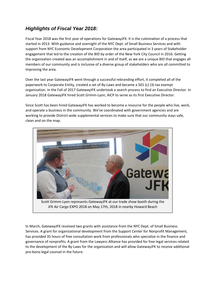## *Highlights of Fiscal Year 2018:*

Fiscal Year 2018 was the first year of operations for GatewayJFK. It is the culmination of a process that started in 2013. With guidance and oversight of the NYC Dept. of Small Business Services and with support from NYC Economic Development Corporation the area participated in 3 years of Stakeholder engagement that led to the creation of the BID by order of the New York City Council in 2016. Getting the organization created was an accomplishment in and of itself, as we are a unique BID that engages all members of our community and is inclusive of a diverse group of stakeholders who are all committed to improving the area.

Over the last year GatewayJFK went through a successful rebranding effort, it completed all of the paperwork to Corporate Entity, created a set of By-Laws and became a 501 (c) (3) tax exempt organization. In the Fall of 2017 GatewayJFK undertook a search process to find an Executive Director. In January 2018 GatewayJFK hired Scott Grimm-Lyon, AICP to serve as its first Executive Director.

Since Scott has been hired GatewayJFK has worked to become a resource for the people who live, work, and operate a business in the community. We've coordinated with government agencies and are working to provide District-wide supplemental services to make sure that our community stays safe, clean and on the map.



In March, GatewayJFK received two grants with assistance from the NYC Dept. of Small Business Services. A grant for organizational development from the Support Center for Nonprofit Management, has provided 35 hours of free consultation work from professionals who specialize in the finance and governance of nonprofits. A grant from the Lawyers Alliance has provided for free legal services related to the development of the By-Laws for the organization and will allow GatewayJFK to receive additional pro-bono legal counsel in the future.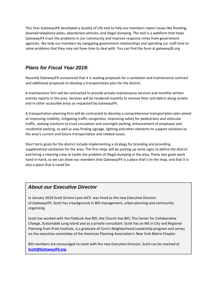This Year GatewayJFK developed a Quality of Life tool to help our members report issues like flooding, downed telephone poles, abandoned vehicles, and illegal dumping. The tool is a webform that helps GatewayJFK track the problems in our community and improve response times from government agencies. We help our members by navigating government relationships and spending our staff time to solve problems that they may not have time to deal with. You can find the form at gatewayjfk.org

## *Plans for Fiscal Year 2019:*

Recently GatewayJFK announced that it is seeking proposals for a sanitation and maintenance contract and additional proposals to develop a transportation plan for the district.

A maintenance firm will be contracted to provide private maintenance services and monthly written activity reports in the area. Services will be rendered monthly to remove litter and debris along streets and in other accessible areas as requested by GatewayJFK.

A transportation planning firm will be contracted to develop a comprehensive transportation plan aimed at improving mobility, mitigating traffic congestion, improving safety for pedestrians and vehicular traffic, seeking solutions to truck circulation and overnight parking, enhancement of employee and residential parking, as well as way-finding signage, lighting and other elements to support solutions to the area's current and future transportation and related issues.

Short term goals for the district include implementing a strategy for branding and providing supplemental sanitation for the area. The first steps will be putting up some signs to define the district and hiring a cleaning crew to tackle the problem of illegal dumping in the area. These two goals work hand in hand, so we can show our members that GatewayJFK is a place that's on the map, and that it is also a place that is cared for.

## *About our Executive Director*

In January 2018 Scott Grimm-Lyon AICP, was hired as the new Executive Director of [GatewayJFK.](http://r20.rs6.net/tn.jsp?f=001935QzDmFFdejK7SNBxeREHHPEaO9DrmFLRb2HyKreMarKalwkn-GMQsPZuNy-oeBZebKI9q547EPm6DrgKfVqvEIvlp9JUeXMuNiMyLQqXziT5IHtcZEnx9rS0OnuKNhr_nYBvs35C0FWR1D5f6Bqw==&c=4kMeBxm6-8VSdTWExCybtuadHoo26vvAtcOVIK7SfPaF9zjz_-p6fQ==&ch=GCWpa_8QUSlqnZ5-T422ifw9bmBUcHI61ev5azp5l-unS_uo6rLtqQ==) Scott has a background in BID management, urban planning and community organizing.

Scott has worked with the Flatbush Ave BID, the Church Ave BID, The Center for Collaborative Change, Sustainable Long Island and as a private consultant. Scott has an MS in City and Regional Planning from Pratt Institute, is a graduate of Coro's Neighborhood Leadership program and serves on the executive committee of the American Planning Association's New York Metro Chapter.

BID members are encouraged to meet with the new Executive Director, Scott can be reached at **[Scott@GatewayJFK.org.](mailto:Scott@GatewayJFK.org)**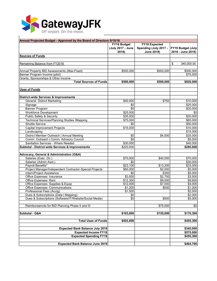

| Annual Projected Budget - Approved by the Board of Directors 5/15/18 |                       |                       |                   |  |  |
|----------------------------------------------------------------------|-----------------------|-----------------------|-------------------|--|--|
|                                                                      | FY18 Budget           | <b>FY18 Expected</b>  |                   |  |  |
|                                                                      | (July 2017 - June     | Spending (July 2017 - | FY19 Budget (July |  |  |
|                                                                      | 2018)                 | <b>June 2018)</b>     | 2018 - June 2019) |  |  |
| <b>Sources of Funds</b>                                              |                       |                       |                   |  |  |
|                                                                      |                       |                       |                   |  |  |
| Remaining Balance from FY2018                                        |                       |                       | \$<br>345,000.00  |  |  |
|                                                                      |                       |                       |                   |  |  |
| Annual Property BID Assessments (Max-Fixed)                          | \$500,000             | \$500,000             | \$500,000         |  |  |
| Banner Program Income (pilot)                                        |                       |                       | \$75,000          |  |  |
| Grants, Sponsorships & Other Income                                  |                       |                       |                   |  |  |
| <b>Total Sources of Funds</b>                                        | \$500.000             | \$500,000             | \$920,000         |  |  |
|                                                                      |                       |                       |                   |  |  |
| <b>Uses of Funds</b>                                                 |                       |                       |                   |  |  |
| <b>District-wide Services &amp; Improvements</b>                     |                       |                       |                   |  |  |
| <b>General District Marketing</b>                                    | \$40,000              | \$750                 | \$10,000          |  |  |
|                                                                      | \$0                   |                       | \$25,000          |  |  |
| Signage                                                              |                       |                       |                   |  |  |
| <b>Banner Program</b>                                                | \$0                   |                       | \$20,000          |  |  |
| <b>Workforce Development</b>                                         | \$25,000              |                       | \$0               |  |  |
| Public Safety & Security                                             | \$35,000              |                       | \$20,000          |  |  |
| <b>Technical Services/Planning Studies /Mapping</b>                  | \$75,000              |                       | \$65,000          |  |  |
| <b>Shuttle Service</b>                                               | \$0                   |                       | \$50,000          |  |  |
| <b>Capital Improvement Projects</b>                                  | \$15,000              |                       | \$10,000          |  |  |
| Landscaping                                                          |                       |                       | \$15,000          |  |  |
| District Member Outreach   Annual Meeting                            | \$0                   | \$4,000               | \$25,000          |  |  |
| Comm. Outreach   Comm. Advisory Council                              | $\overline{30}$       |                       | \$5,000           |  |  |
| Sanitation Services - Where Needed                                   | \$30,000              |                       | \$40,000          |  |  |
| Subtotal - District-wide Services & Improvements                     | $\overline{$}220,000$ |                       | \$285,000         |  |  |
| Advocacy, General & Administration (G&A)                             |                       |                       |                   |  |  |
| Salaries (Exec. Dir.)                                                | \$70,000              | \$40,000              | \$70,000          |  |  |
| Salaries (Admin Asst.)                                               | \$0                   |                       | \$30,000          |  |  |
| Payroll Benefits*                                                    | \$23,100              | \$13,200              | \$33,000          |  |  |
| Project Manager/Independent Contractor-Special Projects              | \$60,000              | \$2,000               | \$5,000           |  |  |
| Intern/Project Assistance                                            | \$0                   | \$300                 | \$5,000           |  |  |
| Office Expenses: Insurance                                           | \$3,500               | \$2,750               | \$3,500           |  |  |
| Office Expenses: Rent                                                | \$12,300              | \$9,000               | \$9,600           |  |  |
| Office Expenses: Supplies & Equip                                    | \$12,000              | \$7,000               | \$4,000           |  |  |
| Office Expenses: Communications                                      | \$1,200               | \$500                 | \$1,200           |  |  |
| Professional Fees (Acctg)                                            | \$1,500               |                       | \$2,000           |  |  |
| Dues & Subscriptions (Data   Mapping)                                | \$0                   |                       | \$2,000           |  |  |
| Dues & Subscriptions (Software/IT/Website/Social Media)              | \$0                   | \$500                 | \$5,000           |  |  |
|                                                                      |                       |                       |                   |  |  |
| Reimbursemnts for BID Planning Phase II and III                      |                       | \$75,000              | \$0               |  |  |
|                                                                      |                       |                       |                   |  |  |
| Subtotal - G&A                                                       | \$183,600             | \$155,000             | \$170,300         |  |  |
| <b>Total Uses of Funds</b>                                           | \$403,600             |                       | \$455,300         |  |  |
|                                                                      |                       |                       |                   |  |  |
| <b>Expected Bank Balance July 2018</b>                               |                       |                       | \$345,000         |  |  |
| <b>Expected Income FY18</b>                                          |                       |                       | \$575,000         |  |  |
| <b>Expected Spending FY19</b>                                        |                       |                       | \$455,300         |  |  |
|                                                                      |                       |                       |                   |  |  |
| <b>Expected Bank Balance June 2019</b>                               |                       |                       | \$464,700         |  |  |

٦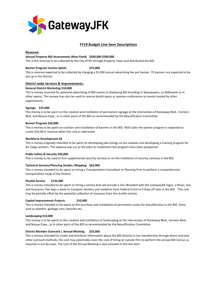

### **FY19 Budget Line Item Descriptions**

#### **Revenue:**

#### **Annual Property BID Assessments (Max-Fixed) \$500,000 \$500,000**

This is the revenue to be collected by the City of NY through Property Taxes and distributed the BID.

#### **Banner Program Income (pilot) \$75,000**

This is revenue expected to be collected by charging a \$1,000 annual advertising fee per banner. 75 banners are expected to be put up in the District.

#### **District-wide Services & Improvements:**

#### **General District Marketing \$10,000**

This is money reserved for potential advertising of BID events or displaying BID branding in Newspapers, on Billboards or in other spaces. This money may also be used to reserve booth space or sponsor conferences or events hosted by other organizations.

#### **Signage \$25,000**

This money is to be spent on the creation and instillation of permanent signage at the intersection of Rockaway Blvd., Farmers Blvd. and Nassau Expy., or in other parts of the BID as recommended by the Beautification Committee.

#### **Banner Program \$20,000**

This is money to be spent on creation and installation of banners in the BID. With Sales the banner program is expected to create \$55,00 in revenue when this cost is subtracted.

#### **Workforce Development \$0**

This is money originally intended to be spent on developing jobs listings on our website and developing a training program for Air Cargo workers. The expense was cut as the plans to implement this program have been postponed.

#### **Public Safety & Security \$20,000**

This is money to be used to hire supplemental security services or on the instillation of security cameras in the BID.

#### **Technical Services/Planning Studies /Mapping \$65,000**

This is money intended to be spent on hiring a Transportation Consultant or Planning Firm to perform a comprehensive transportation study of the District.

#### **Shuttle Service \$135,000**

This is money intended to be spent on hiring a service that will provide a Van (Branded with the GatewayJFK logo), a Driver, Gas and Insurance, five days a week to transport workers and residents from Federal Circle to 4 drop off sites in the BID. This cost may be partially offset by the potential collection of revenues from the shuttle service.

#### **Capital Improvement Projects \$10,000**

This is money intended to be spent on the purchase and installation of permanent assets for beautification in the BID. Items such as planters, garbage cans, benches etc…

#### **Landscaping \$15,000**

This money is to be spent on the creation and instillation of landscaping at the intersection of Rockaway Blvd., Farmers Blvd. and Nassau Expy., or in other parts of the BID as recommended by the Beautification Committee.

#### **District Member Outreach | Annual Meeting \$25,000**

This is money intended to create and distribute information about the BID directly to our membership through direct mail and other outreach methods, the cost may potentially cover the cost of hiring an outside firm to perform the annual BID Census as required in our By-Laws. The cost of the Annual Meeting is also included in this line item.